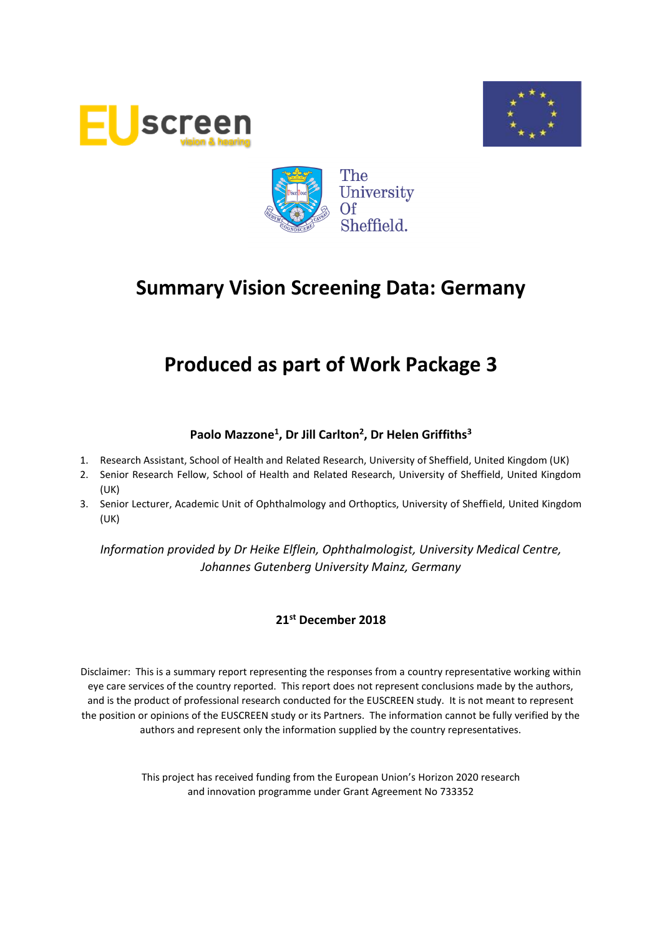





## **Produced as part of Work Package 3**

## **Paolo Mazzone<sup>1</sup> , Dr Jill Carlton<sup>2</sup> , Dr Helen Griffiths<sup>3</sup>**

- 1. Research Assistant, School of Health and Related Research, University of Sheffield, United Kingdom (UK)
- 2. Senior Research Fellow, School of Health and Related Research, University of Sheffield, United Kingdom (UK)
- 3. Senior Lecturer, Academic Unit of Ophthalmology and Orthoptics, University of Sheffield, United Kingdom (UK)

*Information provided by Dr Heike Elflein, Ophthalmologist, University Medical Centre, Johannes Gutenberg University Mainz, Germany*

#### **21st December 2018**

Disclaimer: This is a summary report representing the responses from a country representative working within eye care services of the country reported. This report does not represent conclusions made by the authors, and is the product of professional research conducted for the EUSCREEN study. It is not meant to represent the position or opinions of the EUSCREEN study or its Partners. The information cannot be fully verified by the authors and represent only the information supplied by the country representatives.

> This project has received funding from the European Union's Horizon 2020 research and innovation programme under Grant Agreement No 733352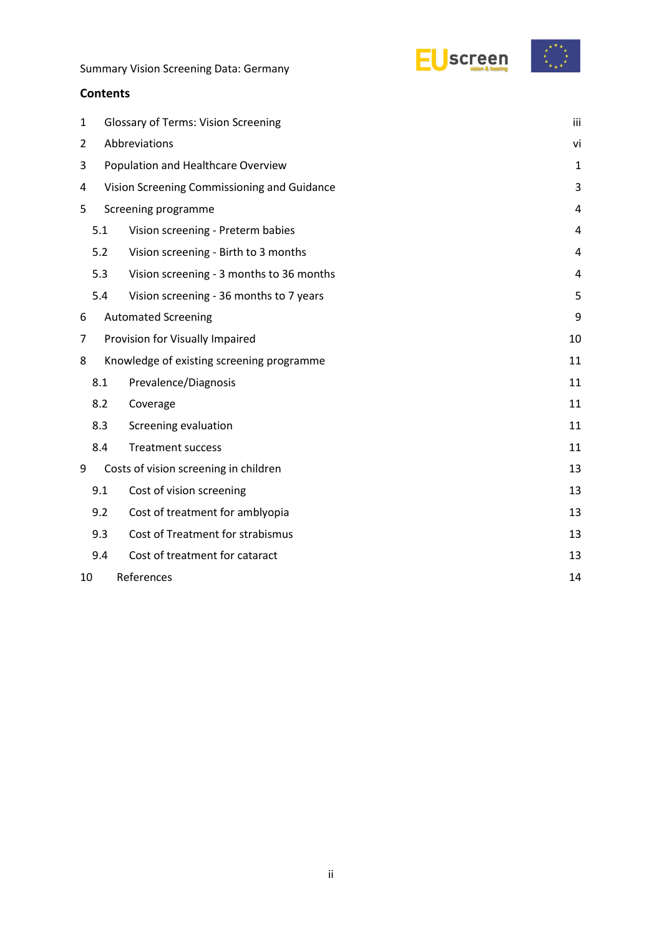

#### **Contents**

| 1 | <b>Glossary of Terms: Vision Screening</b>  |                                           |                |  |  |  |
|---|---------------------------------------------|-------------------------------------------|----------------|--|--|--|
| 2 | Abbreviations                               |                                           |                |  |  |  |
| 3 | Population and Healthcare Overview          |                                           |                |  |  |  |
| 4 | Vision Screening Commissioning and Guidance |                                           |                |  |  |  |
| 5 | Screening programme                         |                                           |                |  |  |  |
|   | 5.1                                         | Vision screening - Preterm babies         | 4              |  |  |  |
|   | 5.2                                         | Vision screening - Birth to 3 months      | 4              |  |  |  |
|   | 5.3                                         | Vision screening - 3 months to 36 months  | $\overline{4}$ |  |  |  |
|   | 5.4                                         | Vision screening - 36 months to 7 years   | 5              |  |  |  |
| 6 |                                             | <b>Automated Screening</b>                | 9              |  |  |  |
| 7 |                                             | Provision for Visually Impaired           | 10             |  |  |  |
| 8 |                                             | Knowledge of existing screening programme | 11             |  |  |  |
|   | 8.1                                         | Prevalence/Diagnosis                      | 11             |  |  |  |
|   | 8.2                                         | Coverage                                  | 11             |  |  |  |
|   | 8.3                                         | Screening evaluation                      | 11             |  |  |  |
|   | 8.4                                         | <b>Treatment success</b>                  | 11             |  |  |  |
| 9 |                                             | Costs of vision screening in children     | 13             |  |  |  |
|   | 9.1                                         | Cost of vision screening                  | 13             |  |  |  |
|   | 9.2                                         | Cost of treatment for amblyopia           | 13             |  |  |  |
|   | 9.3                                         | Cost of Treatment for strabismus          | 13             |  |  |  |
|   | 9.4                                         | Cost of treatment for cataract            | 13             |  |  |  |
|   | References<br>10                            |                                           |                |  |  |  |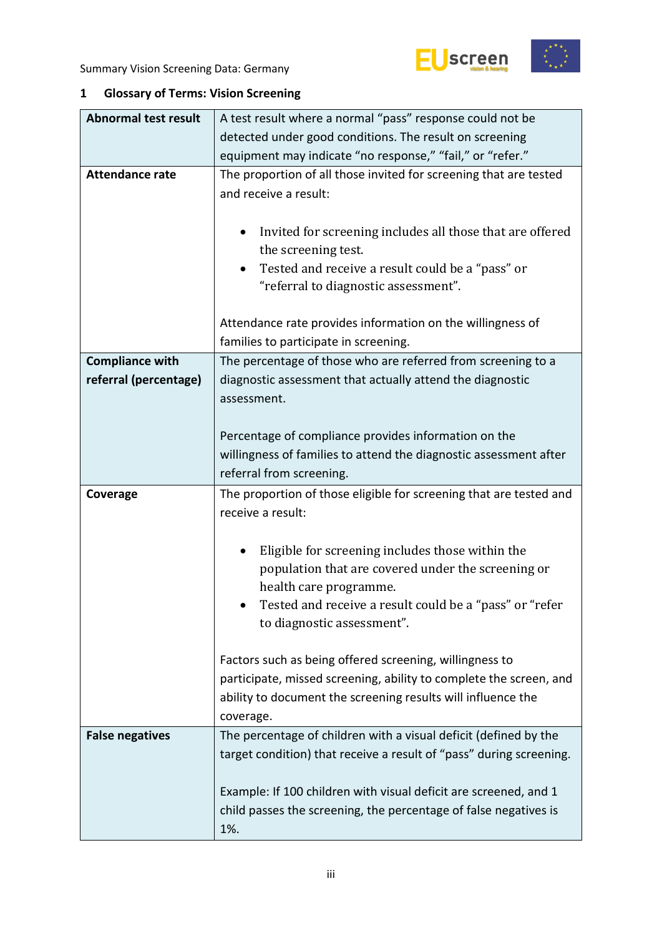



## <span id="page-2-0"></span>**1 Glossary of Terms: Vision Screening**

| <b>Abnormal test result</b> | A test result where a normal "pass" response could not be                                                                                                                                 |  |  |  |  |  |
|-----------------------------|-------------------------------------------------------------------------------------------------------------------------------------------------------------------------------------------|--|--|--|--|--|
|                             | detected under good conditions. The result on screening                                                                                                                                   |  |  |  |  |  |
|                             | equipment may indicate "no response," "fail," or "refer."                                                                                                                                 |  |  |  |  |  |
| <b>Attendance rate</b>      | The proportion of all those invited for screening that are tested<br>and receive a result:                                                                                                |  |  |  |  |  |
|                             | Invited for screening includes all those that are offered<br>$\bullet$<br>the screening test.<br>Tested and receive a result could be a "pass" or<br>"referral to diagnostic assessment". |  |  |  |  |  |
|                             |                                                                                                                                                                                           |  |  |  |  |  |
|                             | Attendance rate provides information on the willingness of<br>families to participate in screening.                                                                                       |  |  |  |  |  |
| <b>Compliance with</b>      | The percentage of those who are referred from screening to a                                                                                                                              |  |  |  |  |  |
| referral (percentage)       | diagnostic assessment that actually attend the diagnostic<br>assessment.                                                                                                                  |  |  |  |  |  |
|                             | Percentage of compliance provides information on the<br>willingness of families to attend the diagnostic assessment after<br>referral from screening.                                     |  |  |  |  |  |
|                             |                                                                                                                                                                                           |  |  |  |  |  |
|                             |                                                                                                                                                                                           |  |  |  |  |  |
| Coverage                    | The proportion of those eligible for screening that are tested and<br>receive a result:                                                                                                   |  |  |  |  |  |
|                             |                                                                                                                                                                                           |  |  |  |  |  |
|                             |                                                                                                                                                                                           |  |  |  |  |  |
|                             | Eligible for screening includes those within the<br>population that are covered under the screening or                                                                                    |  |  |  |  |  |
|                             | health care programme.                                                                                                                                                                    |  |  |  |  |  |
|                             | Tested and receive a result could be a "pass" or "refer<br>to diagnostic assessment".                                                                                                     |  |  |  |  |  |
|                             |                                                                                                                                                                                           |  |  |  |  |  |
|                             | Factors such as being offered screening, willingness to                                                                                                                                   |  |  |  |  |  |
|                             | participate, missed screening, ability to complete the screen, and                                                                                                                        |  |  |  |  |  |
|                             | ability to document the screening results will influence the<br>coverage.                                                                                                                 |  |  |  |  |  |
| <b>False negatives</b>      | The percentage of children with a visual deficit (defined by the                                                                                                                          |  |  |  |  |  |
|                             | target condition) that receive a result of "pass" during screening.                                                                                                                       |  |  |  |  |  |
|                             |                                                                                                                                                                                           |  |  |  |  |  |
|                             | Example: If 100 children with visual deficit are screened, and 1<br>child passes the screening, the percentage of false negatives is                                                      |  |  |  |  |  |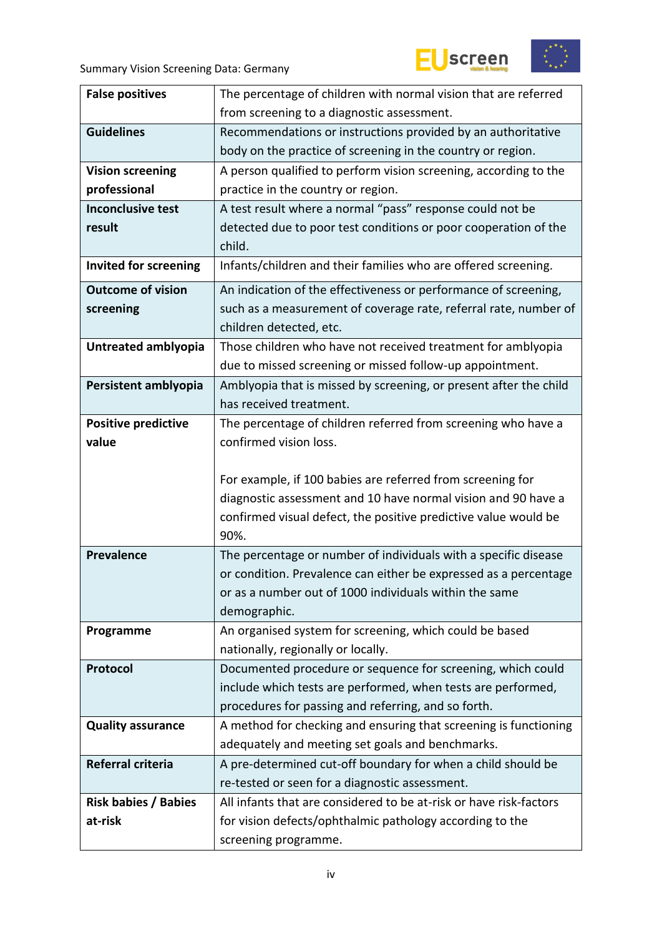





| <b>False positives</b>       | The percentage of children with normal vision that are referred                  |  |  |
|------------------------------|----------------------------------------------------------------------------------|--|--|
|                              | from screening to a diagnostic assessment.                                       |  |  |
| <b>Guidelines</b>            | Recommendations or instructions provided by an authoritative                     |  |  |
|                              | body on the practice of screening in the country or region.                      |  |  |
| <b>Vision screening</b>      | A person qualified to perform vision screening, according to the                 |  |  |
| professional                 | practice in the country or region.                                               |  |  |
| <b>Inconclusive test</b>     | A test result where a normal "pass" response could not be                        |  |  |
| result                       | detected due to poor test conditions or poor cooperation of the                  |  |  |
|                              | child.                                                                           |  |  |
| <b>Invited for screening</b> | Infants/children and their families who are offered screening.                   |  |  |
| <b>Outcome of vision</b>     | An indication of the effectiveness or performance of screening,                  |  |  |
| screening                    | such as a measurement of coverage rate, referral rate, number of                 |  |  |
|                              | children detected, etc.                                                          |  |  |
| Untreated amblyopia          | Those children who have not received treatment for amblyopia                     |  |  |
|                              | due to missed screening or missed follow-up appointment.                         |  |  |
| Persistent amblyopia         | Amblyopia that is missed by screening, or present after the child                |  |  |
|                              | has received treatment.                                                          |  |  |
| <b>Positive predictive</b>   | The percentage of children referred from screening who have a                    |  |  |
| value                        | confirmed vision loss.                                                           |  |  |
|                              |                                                                                  |  |  |
|                              |                                                                                  |  |  |
|                              | For example, if 100 babies are referred from screening for                       |  |  |
|                              | diagnostic assessment and 10 have normal vision and 90 have a                    |  |  |
|                              | confirmed visual defect, the positive predictive value would be                  |  |  |
|                              | 90%.                                                                             |  |  |
| <b>Prevalence</b>            | The percentage or number of individuals with a specific disease                  |  |  |
|                              | or condition. Prevalence can either be expressed as a percentage                 |  |  |
|                              | or as a number out of 1000 individuals within the same                           |  |  |
|                              | demographic.                                                                     |  |  |
| Programme                    | An organised system for screening, which could be based                          |  |  |
|                              | nationally, regionally or locally.                                               |  |  |
| Protocol                     | Documented procedure or sequence for screening, which could                      |  |  |
|                              | include which tests are performed, when tests are performed,                     |  |  |
|                              | procedures for passing and referring, and so forth.                              |  |  |
| <b>Quality assurance</b>     | A method for checking and ensuring that screening is functioning                 |  |  |
|                              | adequately and meeting set goals and benchmarks.                                 |  |  |
| Referral criteria            | A pre-determined cut-off boundary for when a child should be                     |  |  |
|                              | re-tested or seen for a diagnostic assessment.                                   |  |  |
| <b>Risk babies / Babies</b>  | All infants that are considered to be at-risk or have risk-factors               |  |  |
| at-risk                      | for vision defects/ophthalmic pathology according to the<br>screening programme. |  |  |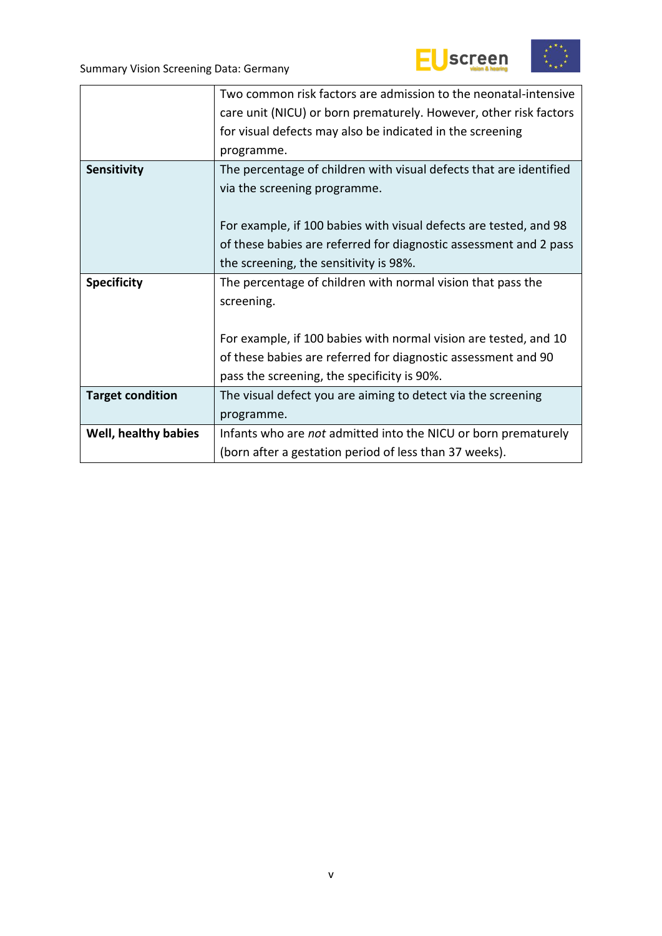



|                         | Two common risk factors are admission to the neonatal-intensive    |  |  |  |
|-------------------------|--------------------------------------------------------------------|--|--|--|
|                         | care unit (NICU) or born prematurely. However, other risk factors  |  |  |  |
|                         | for visual defects may also be indicated in the screening          |  |  |  |
|                         | programme.                                                         |  |  |  |
| Sensitivity             | The percentage of children with visual defects that are identified |  |  |  |
|                         | via the screening programme.                                       |  |  |  |
|                         |                                                                    |  |  |  |
|                         | For example, if 100 babies with visual defects are tested, and 98  |  |  |  |
|                         | of these babies are referred for diagnostic assessment and 2 pass  |  |  |  |
|                         | the screening, the sensitivity is 98%.                             |  |  |  |
| <b>Specificity</b>      | The percentage of children with normal vision that pass the        |  |  |  |
|                         | screening.                                                         |  |  |  |
|                         |                                                                    |  |  |  |
|                         | For example, if 100 babies with normal vision are tested, and 10   |  |  |  |
|                         |                                                                    |  |  |  |
|                         | of these babies are referred for diagnostic assessment and 90      |  |  |  |
|                         | pass the screening, the specificity is 90%.                        |  |  |  |
| <b>Target condition</b> | The visual defect you are aiming to detect via the screening       |  |  |  |
|                         | programme.                                                         |  |  |  |
| Well, healthy babies    | Infants who are not admitted into the NICU or born prematurely     |  |  |  |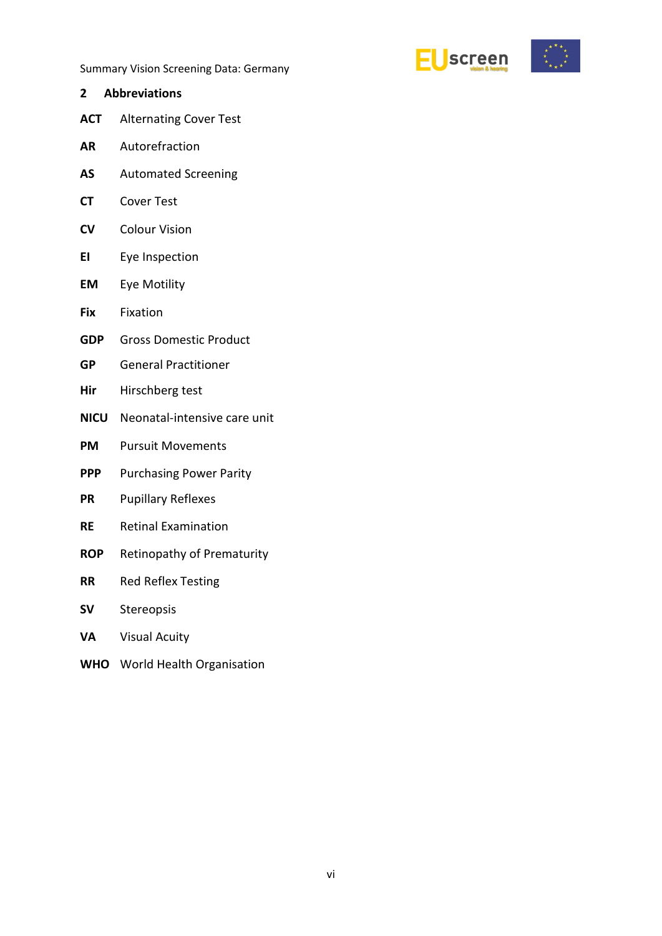

- <span id="page-5-0"></span>**2 Abbreviations ACT** Alternating Cover Test
- **AR** Autorefraction
- **AS** Automated Screening
- **CT** Cover Test
- **CV** Colour Vision
- **EI** Eye Inspection
- **EM** Eye Motility
- **Fix** Fixation
- **GDP** Gross Domestic Product
- **GP** General Practitioner
- **Hir** Hirschberg test
- **NICU** Neonatal-intensive care unit
- **PM** Pursuit Movements
- **PPP** Purchasing Power Parity
- **PR** Pupillary Reflexes
- **RE** Retinal Examination
- **ROP** Retinopathy of Prematurity
- **RR** Red Reflex Testing
- **SV** Stereopsis
- **VA** Visual Acuity
- **WHO** World Health Organisation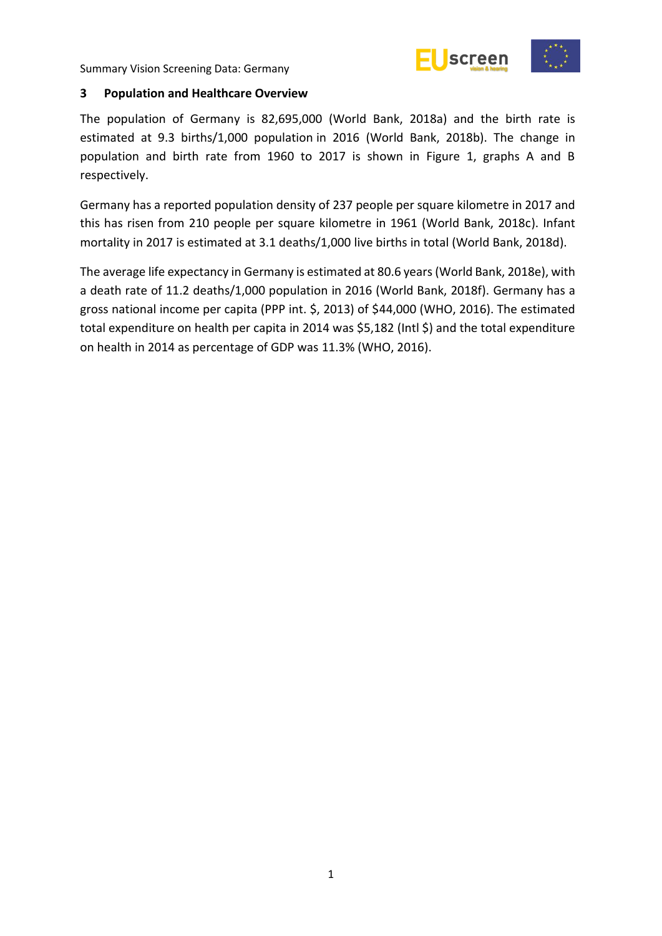



#### <span id="page-6-0"></span>**3 Population and Healthcare Overview**

The population of Germany is 82,695,000 (World Bank, 2018a) and the birth rate is estimated at 9.3 births/1,000 population in 2016 (World Bank, 2018b). The change in population and birth rate from 1960 to 2017 is shown in Figure 1, graphs A and B respectively.

Germany has a reported population density of 237 people per square kilometre in 2017 and this has risen from 210 people per square kilometre in 1961 (World Bank, 2018c). Infant mortality in 2017 is estimated at 3.1 deaths/1,000 live births in total (World Bank, 2018d).

The average life expectancy in Germany is estimated at 80.6 years (World Bank, 2018e), with a death rate of 11.2 deaths/1,000 population in 2016 (World Bank, 2018f). Germany has a gross national income per capita (PPP int. \$, 2013) of \$44,000 (WHO, 2016). The estimated total expenditure on health per capita in 2014 was \$5,182 (Intl \$) and the total expenditure on health in 2014 as percentage of GDP was 11.3% (WHO, 2016).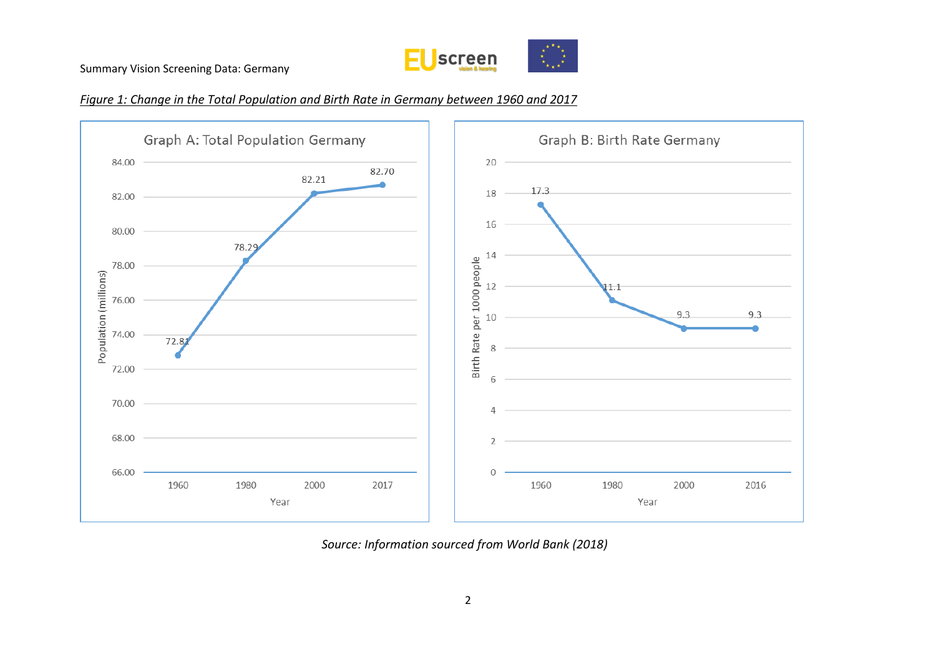





*Source: Information sourced from World Bank (2018)*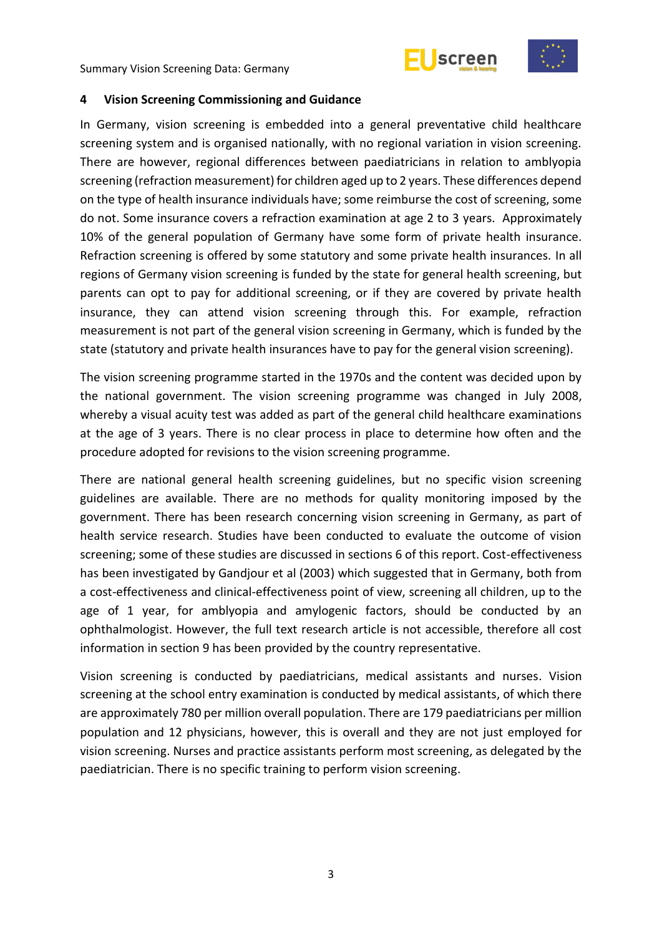



#### <span id="page-8-0"></span>**4 Vision Screening Commissioning and Guidance**

In Germany, vision screening is embedded into a general preventative child healthcare screening system and is organised nationally, with no regional variation in vision screening. There are however, regional differences between paediatricians in relation to amblyopia screening (refraction measurement) for children aged up to 2 years. These differences depend on the type of health insurance individuals have; some reimburse the cost of screening, some do not. Some insurance covers a refraction examination at age 2 to 3 years. Approximately 10% of the general population of Germany have some form of private health insurance. Refraction screening is offered by some statutory and some private health insurances. In all regions of Germany vision screening is funded by the state for general health screening, but parents can opt to pay for additional screening, or if they are covered by private health insurance, they can attend vision screening through this. For example, refraction measurement is not part of the general vision screening in Germany, which is funded by the state (statutory and private health insurances have to pay for the general vision screening).

The vision screening programme started in the 1970s and the content was decided upon by the national government. The vision screening programme was changed in July 2008, whereby a visual acuity test was added as part of the general child healthcare examinations at the age of 3 years. There is no clear process in place to determine how often and the procedure adopted for revisions to the vision screening programme.

There are national general health screening guidelines, but no specific vision screening guidelines are available. There are no methods for quality monitoring imposed by the government. There has been research concerning vision screening in Germany, as part of health service research. Studies have been conducted to evaluate the outcome of vision screening; some of these studies are discussed in sections 6 of this report. Cost-effectiveness has been investigated by Gandjour et al (2003) which suggested that in Germany, both from a cost-effectiveness and clinical-effectiveness point of view, screening all children, up to the age of 1 year, for amblyopia and amylogenic factors, should be conducted by an ophthalmologist. However, the full text research article is not accessible, therefore all cost information in section 9 has been provided by the country representative.

Vision screening is conducted by paediatricians, medical assistants and nurses. Vision screening at the school entry examination is conducted by medical assistants, of which there are approximately 780 per million overall population. There are 179 paediatricians per million population and 12 physicians, however, this is overall and they are not just employed for vision screening. Nurses and practice assistants perform most screening, as delegated by the paediatrician. There is no specific training to perform vision screening.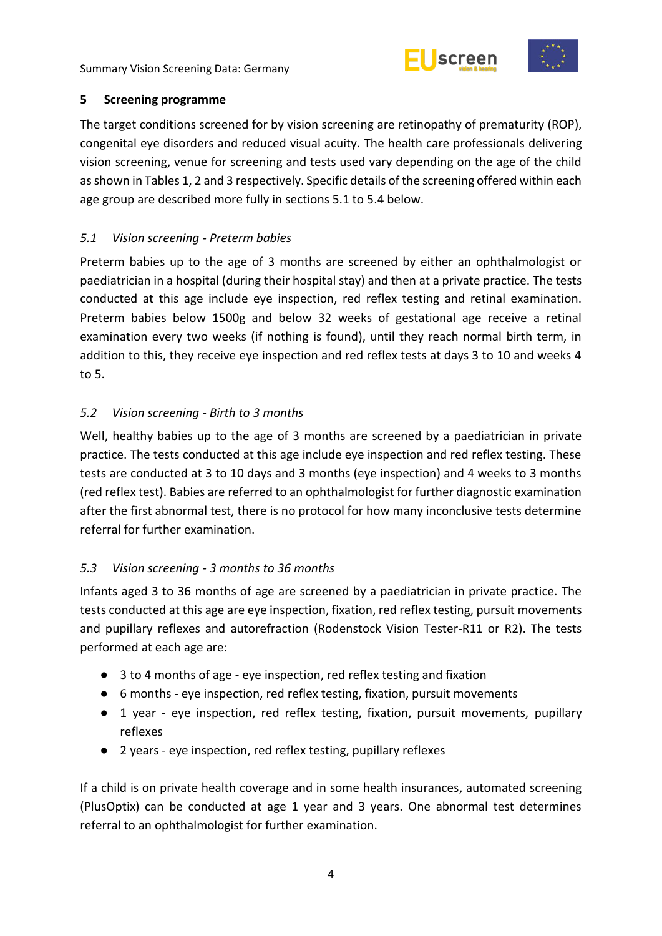



#### <span id="page-9-0"></span>**5 Screening programme**

The target conditions screened for by vision screening are retinopathy of prematurity (ROP), congenital eye disorders and reduced visual acuity. The health care professionals delivering vision screening, venue for screening and tests used vary depending on the age of the child as shown in Tables 1, 2 and 3 respectively. Specific details of the screening offered within each age group are described more fully in sections 5.1 to 5.4 below.

## <span id="page-9-1"></span>*5.1 Vision screening - Preterm babies*

Preterm babies up to the age of 3 months are screened by either an ophthalmologist or paediatrician in a hospital (during their hospital stay) and then at a private practice. The tests conducted at this age include eye inspection, red reflex testing and retinal examination. Preterm babies below 1500g and below 32 weeks of gestational age receive a retinal examination every two weeks (if nothing is found), until they reach normal birth term, in addition to this, they receive eye inspection and red reflex tests at days 3 to 10 and weeks 4 to 5.

## <span id="page-9-2"></span>*5.2 Vision screening - Birth to 3 months*

Well, healthy babies up to the age of 3 months are screened by a paediatrician in private practice. The tests conducted at this age include eye inspection and red reflex testing. These tests are conducted at 3 to 10 days and 3 months (eye inspection) and 4 weeks to 3 months (red reflex test). Babies are referred to an ophthalmologist for further diagnostic examination after the first abnormal test, there is no protocol for how many inconclusive tests determine referral for further examination.

### <span id="page-9-3"></span>*5.3 Vision screening - 3 months to 36 months*

Infants aged 3 to 36 months of age are screened by a paediatrician in private practice. The tests conducted at this age are eye inspection, fixation, red reflex testing, pursuit movements and pupillary reflexes and autorefraction (Rodenstock Vision Tester-R11 or R2). The tests performed at each age are:

- 3 to 4 months of age eye inspection, red reflex testing and fixation
- 6 months eye inspection, red reflex testing, fixation, pursuit movements
- 1 year eye inspection, red reflex testing, fixation, pursuit movements, pupillary reflexes
- 2 years eye inspection, red reflex testing, pupillary reflexes

If a child is on private health coverage and in some health insurances, automated screening (PlusOptix) can be conducted at age 1 year and 3 years. One abnormal test determines referral to an ophthalmologist for further examination.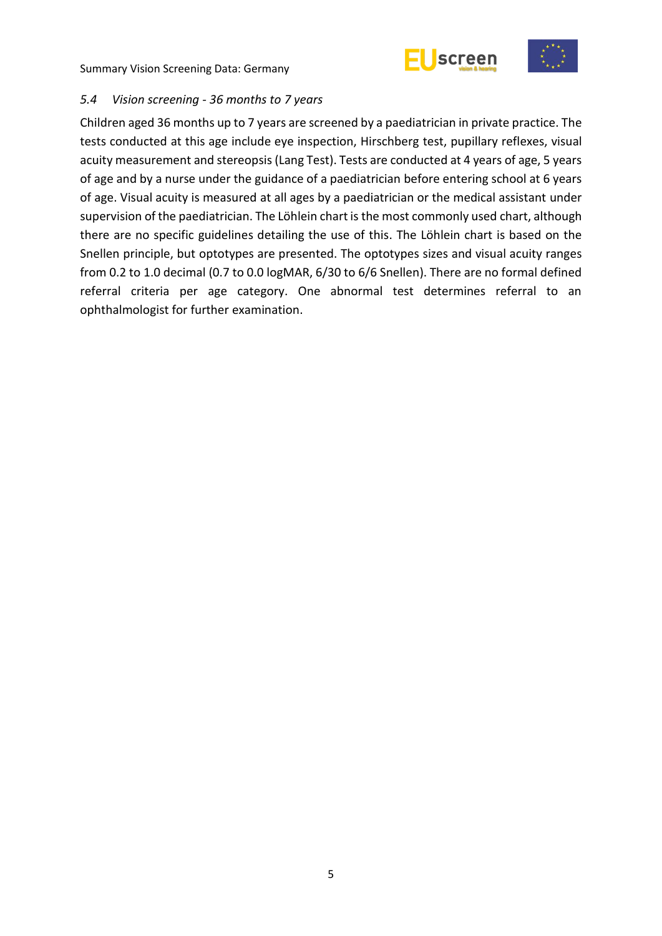



#### <span id="page-10-0"></span>*5.4 Vision screening - 36 months to 7 years*

Children aged 36 months up to 7 years are screened by a paediatrician in private practice. The tests conducted at this age include eye inspection, Hirschberg test, pupillary reflexes, visual acuity measurement and stereopsis(Lang Test). Tests are conducted at 4 years of age, 5 years of age and by a nurse under the guidance of a paediatrician before entering school at 6 years of age. Visual acuity is measured at all ages by a paediatrician or the medical assistant under supervision of the paediatrician. The Löhlein chart is the most commonly used chart, although there are no specific guidelines detailing the use of this. The Löhlein chart is based on the Snellen principle, but optotypes are presented. The optotypes sizes and visual acuity ranges from 0.2 to 1.0 decimal (0.7 to 0.0 logMAR, 6/30 to 6/6 Snellen). There are no formal defined referral criteria per age category. One abnormal test determines referral to an ophthalmologist for further examination.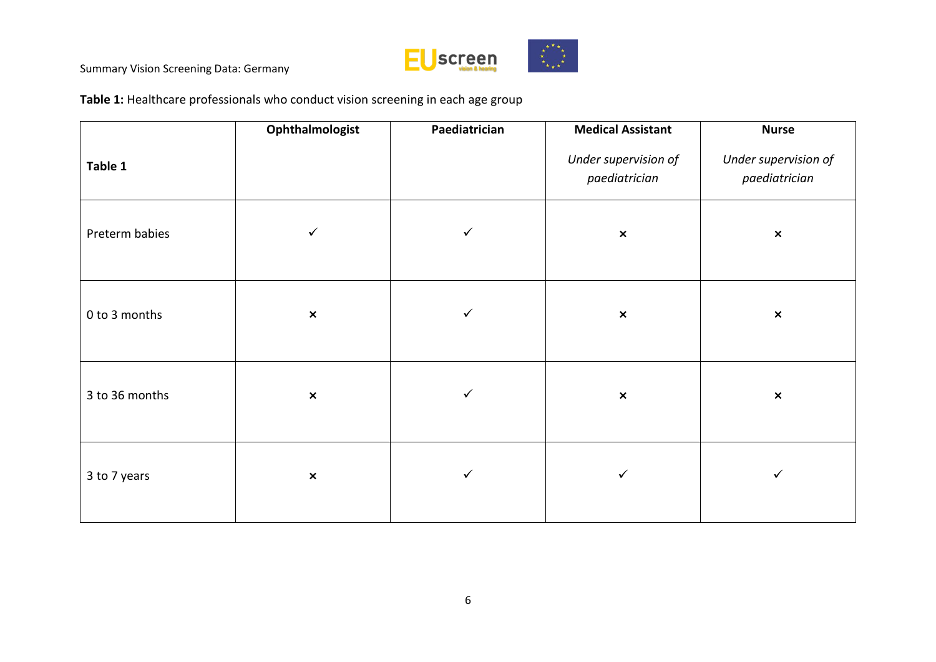

**Table 1:** Healthcare professionals who conduct vision screening in each age group

|                | Ophthalmologist | Paediatrician | <b>Medical Assistant</b>              | <b>Nurse</b>                          |
|----------------|-----------------|---------------|---------------------------------------|---------------------------------------|
| Table 1        |                 |               | Under supervision of<br>paediatrician | Under supervision of<br>paediatrician |
| Preterm babies | $\checkmark$    | $\checkmark$  | $\boldsymbol{\mathsf{x}}$             | $\pmb{\times}$                        |
| 0 to 3 months  | $\pmb{\times}$  | $\checkmark$  | $\boldsymbol{\mathsf{x}}$             | $\pmb{\times}$                        |
| 3 to 36 months | $\pmb{\times}$  | $\checkmark$  | $\boldsymbol{\mathsf{x}}$             | $\pmb{\times}$                        |
| 3 to 7 years   | $\pmb{\times}$  | $\checkmark$  | $\checkmark$                          | $\checkmark$                          |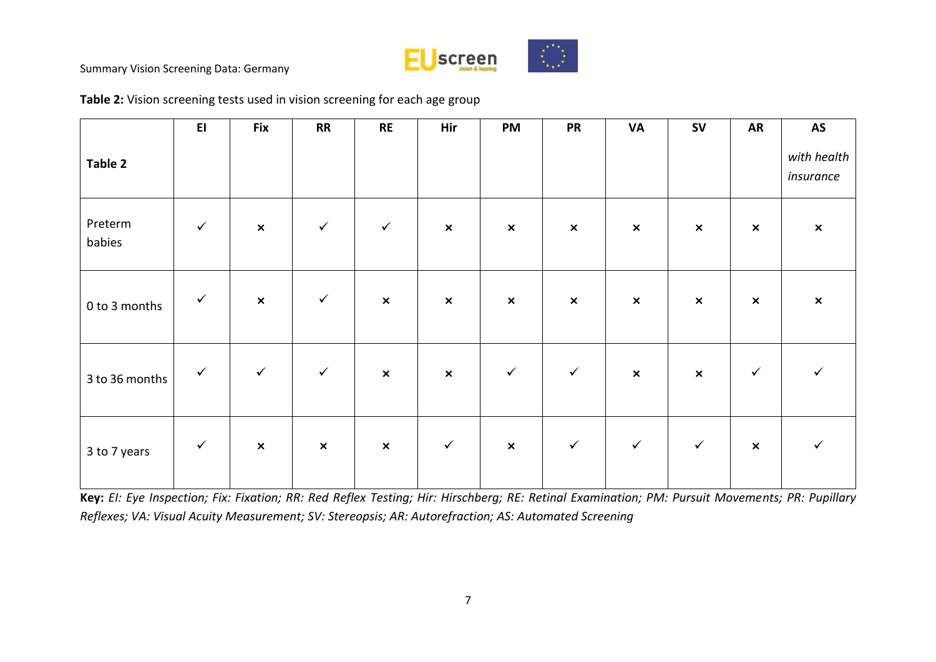

|                   | E1           | <b>Fix</b>                | RR             | <b>RE</b>      | Hir            | <b>PM</b>      | <b>PR</b>      | VA             | <b>SV</b>                 | <b>AR</b>      | AS                       |
|-------------------|--------------|---------------------------|----------------|----------------|----------------|----------------|----------------|----------------|---------------------------|----------------|--------------------------|
| Table 2           |              |                           |                |                |                |                |                |                |                           |                | with health<br>insurance |
| Preterm<br>babies | $\checkmark$ | $\boldsymbol{\mathsf{x}}$ | $\checkmark$   | $\checkmark$   | $\pmb{\times}$ | $\pmb{\times}$ | $\pmb{\times}$ | $\pmb{\times}$ | $\pmb{\times}$            | $\pmb{\times}$ | $\pmb{\times}$           |
| 0 to 3 months     | $\checkmark$ | $\pmb{\times}$            | $\checkmark$   | $\pmb{\times}$ | $\pmb{\times}$ | $\pmb{\times}$ | $\pmb{\times}$ | $\pmb{\times}$ | $\pmb{\times}$            | $\pmb{\times}$ | $\pmb{\times}$           |
| 3 to 36 months    | $\checkmark$ | $\checkmark$              | $\checkmark$   | $\pmb{\times}$ | $\pmb{\times}$ | $\checkmark$   | $\checkmark$   | $\pmb{\times}$ | $\boldsymbol{\mathsf{x}}$ | $\checkmark$   | $\checkmark$             |
| 3 to 7 years      | $\checkmark$ | $\pmb{\times}$            | $\pmb{\times}$ | $\pmb{\times}$ | $\checkmark$   | $\pmb{\times}$ | $\checkmark$   | $\checkmark$   | $\checkmark$              | $\pmb{\times}$ | $\checkmark$             |

**Table 2:** Vision screening tests used in vision screening for each age group

**Key:** *EI: Eye Inspection; Fix: Fixation; RR: Red Reflex Testing; Hir: Hirschberg; RE: Retinal Examination; PM: Pursuit Movements; PR: Pupillary Reflexes; VA: Visual Acuity Measurement; SV: Stereopsis; AR: Autorefraction; AS: Automated Screening*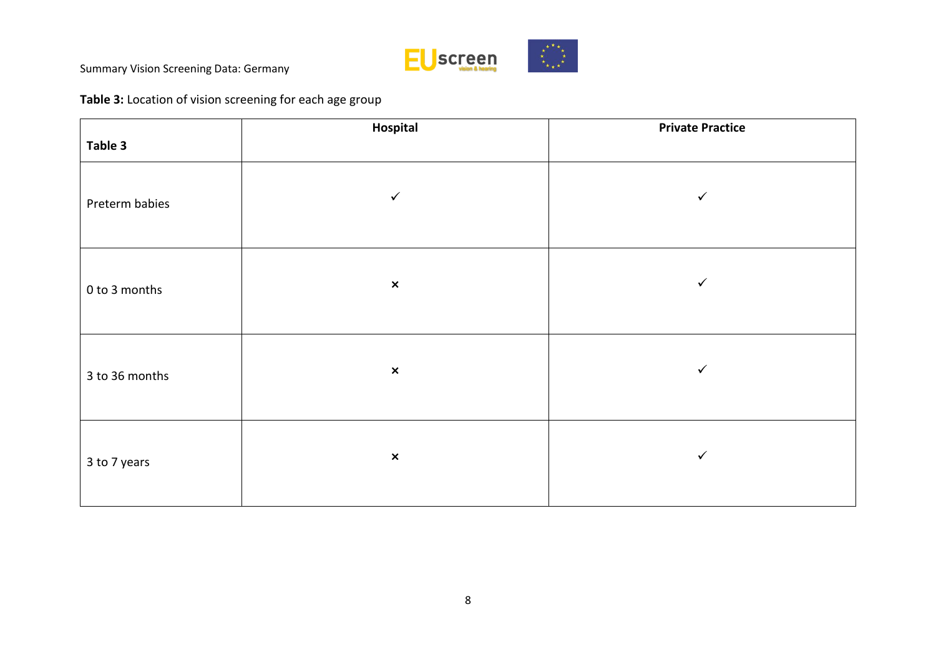

## **Table 3:** Location of vision screening for each age group

|                | Hospital                  | <b>Private Practice</b> |
|----------------|---------------------------|-------------------------|
| Table 3        |                           |                         |
| Preterm babies | $\checkmark$              | ✓                       |
| 0 to 3 months  | $\pmb{\times}$            | $\checkmark$            |
| 3 to 36 months | $\pmb{\times}$            | $\checkmark$            |
| 3 to 7 years   | $\boldsymbol{\mathsf{x}}$ | $\checkmark$            |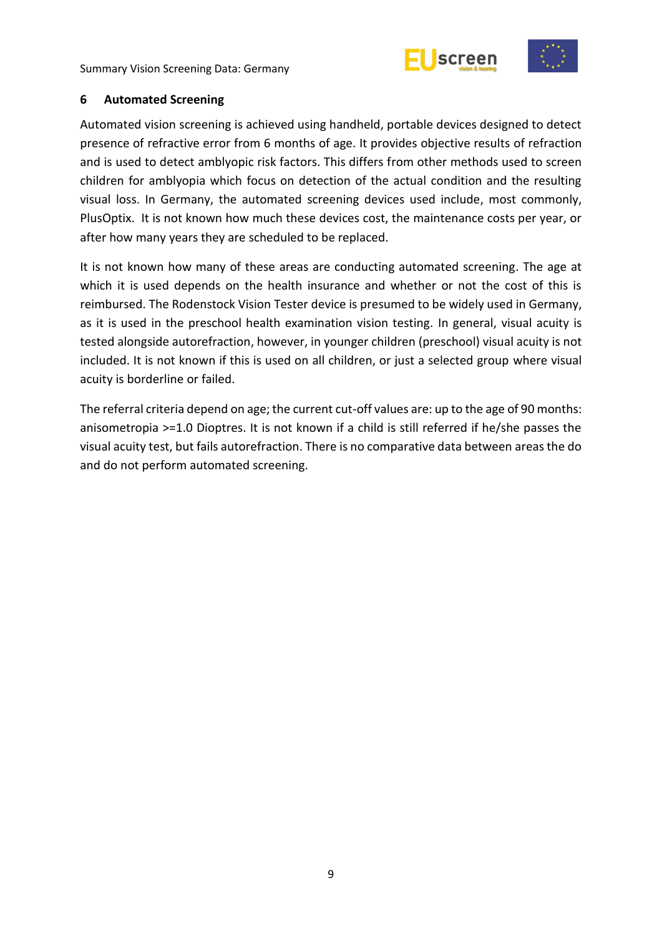



#### <span id="page-14-0"></span>**6 Automated Screening**

Automated vision screening is achieved using handheld, portable devices designed to detect presence of refractive error from 6 months of age. It provides objective results of refraction and is used to detect amblyopic risk factors. This differs from other methods used to screen children for amblyopia which focus on detection of the actual condition and the resulting visual loss. In Germany, the automated screening devices used include, most commonly, PlusOptix. It is not known how much these devices cost, the maintenance costs per year, or after how many years they are scheduled to be replaced.

It is not known how many of these areas are conducting automated screening. The age at which it is used depends on the health insurance and whether or not the cost of this is reimbursed. The Rodenstock Vision Tester device is presumed to be widely used in Germany, as it is used in the preschool health examination vision testing. In general, visual acuity is tested alongside autorefraction, however, in younger children (preschool) visual acuity is not included. It is not known if this is used on all children, or just a selected group where visual acuity is borderline or failed.

The referral criteria depend on age; the current cut-off values are: up to the age of 90 months: anisometropia >=1.0 Dioptres. It is not known if a child is still referred if he/she passes the visual acuity test, but fails autorefraction. There is no comparative data between areas the do and do not perform automated screening.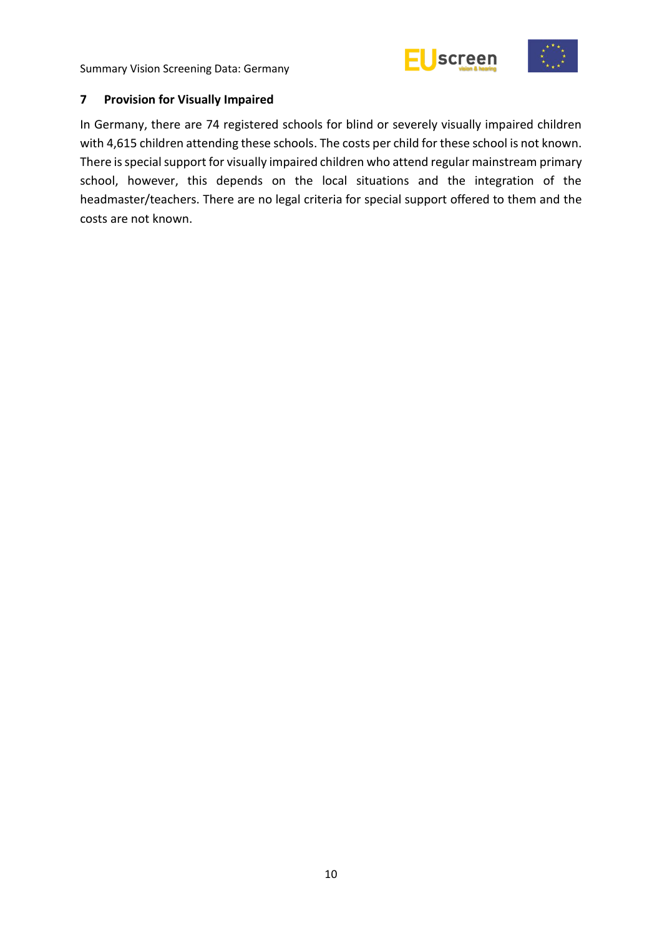



#### <span id="page-15-0"></span>**7 Provision for Visually Impaired**

In Germany, there are 74 registered schools for blind or severely visually impaired children with 4,615 children attending these schools. The costs per child for these school is not known. There is special support for visually impaired children who attend regular mainstream primary school, however, this depends on the local situations and the integration of the headmaster/teachers. There are no legal criteria for special support offered to them and the costs are not known.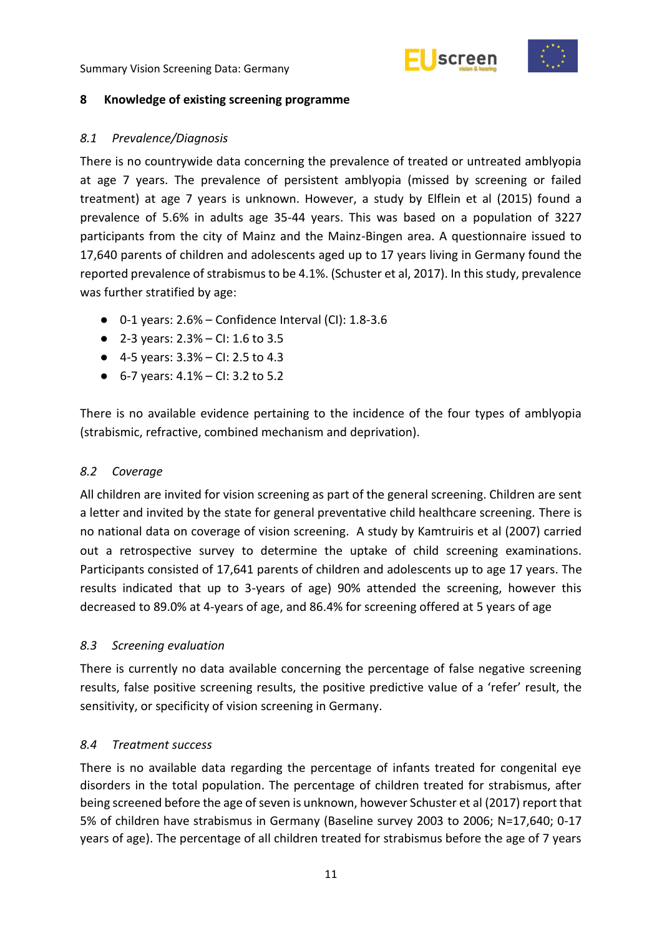



#### <span id="page-16-0"></span>**8 Knowledge of existing screening programme**

#### <span id="page-16-1"></span>*8.1 Prevalence/Diagnosis*

There is no countrywide data concerning the prevalence of treated or untreated amblyopia at age 7 years. The prevalence of persistent amblyopia (missed by screening or failed treatment) at age 7 years is unknown. However, a study by Elflein et al (2015) found a prevalence of 5.6% in adults age 35-44 years. This was based on a population of 3227 participants from the city of Mainz and the Mainz-Bingen area. A questionnaire issued to 17,640 parents of children and adolescents aged up to 17 years living in Germany found the reported prevalence of strabismus to be 4.1%. (Schuster et al, 2017). In this study, prevalence was further stratified by age:

- $\bullet$  0-1 years: 2.6% Confidence Interval (CI): 1.8-3.6
- 2-3 years:  $2.3%$  CI: 1.6 to 3.5
- 4-5 years:  $3.3%$  CI: 2.5 to 4.3
- $\bullet$  6-7 years: 4.1% CI: 3.2 to 5.2

There is no available evidence pertaining to the incidence of the four types of amblyopia (strabismic, refractive, combined mechanism and deprivation).

#### <span id="page-16-2"></span>*8.2 Coverage*

All children are invited for vision screening as part of the general screening. Children are sent a letter and invited by the state for general preventative child healthcare screening. There is no national data on coverage of vision screening. A study by Kamtruiris et al (2007) carried out a retrospective survey to determine the uptake of child screening examinations. Participants consisted of 17,641 parents of children and adolescents up to age 17 years. The results indicated that up to 3-years of age) 90% attended the screening, however this decreased to 89.0% at 4-years of age, and 86.4% for screening offered at 5 years of age

#### <span id="page-16-3"></span>*8.3 Screening evaluation*

There is currently no data available concerning the percentage of false negative screening results, false positive screening results, the positive predictive value of a 'refer' result, the sensitivity, or specificity of vision screening in Germany.

#### <span id="page-16-4"></span>*8.4 Treatment success*

There is no available data regarding the percentage of infants treated for congenital eye disorders in the total population. The percentage of children treated for strabismus, after being screened before the age of seven is unknown, however Schuster et al (2017) report that 5% of children have strabismus in Germany (Baseline survey 2003 to 2006; N=17,640; 0-17 years of age). The percentage of all children treated for strabismus before the age of 7 years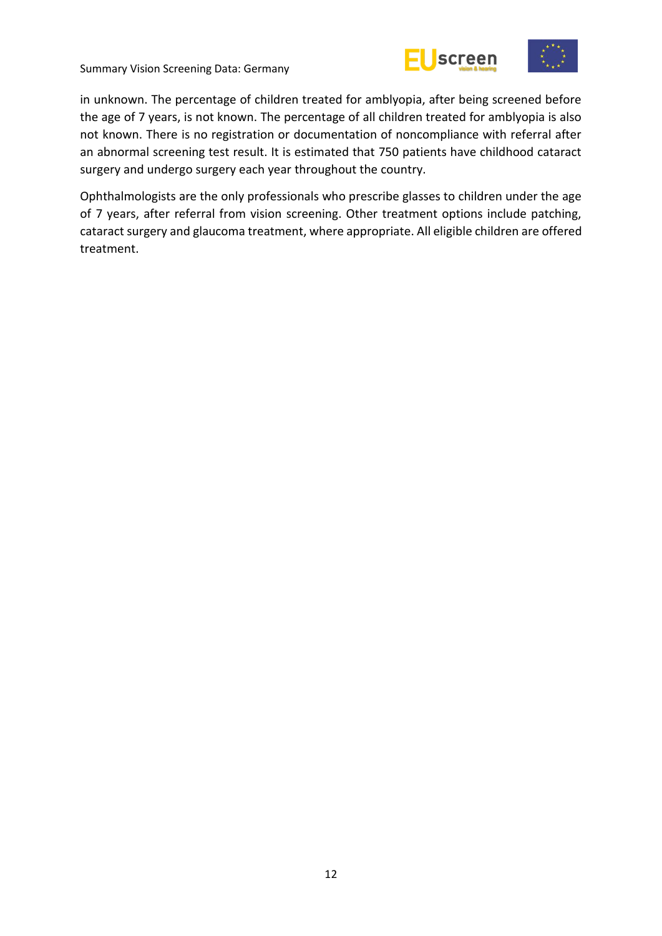





in unknown. The percentage of children treated for amblyopia, after being screened before the age of 7 years, is not known. The percentage of all children treated for amblyopia is also not known. There is no registration or documentation of noncompliance with referral after an abnormal screening test result. It is estimated that 750 patients have childhood cataract surgery and undergo surgery each year throughout the country.

Ophthalmologists are the only professionals who prescribe glasses to children under the age of 7 years, after referral from vision screening. Other treatment options include patching, cataract surgery and glaucoma treatment, where appropriate. All eligible children are offered treatment.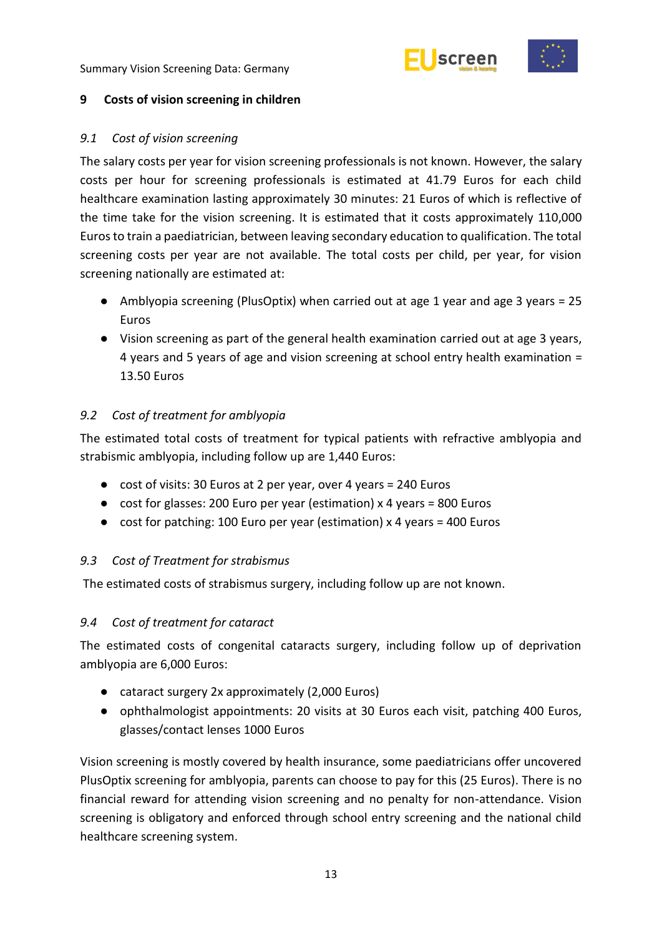



#### <span id="page-18-0"></span>**9 Costs of vision screening in children**

#### <span id="page-18-1"></span>*9.1 Cost of vision screening*

The salary costs per year for vision screening professionals is not known. However, the salary costs per hour for screening professionals is estimated at 41.79 Euros for each child healthcare examination lasting approximately 30 minutes: 21 Euros of which is reflective of the time take for the vision screening. It is estimated that it costs approximately 110,000 Euros to train a paediatrician, between leaving secondary education to qualification. The total screening costs per year are not available. The total costs per child, per year, for vision screening nationally are estimated at:

- Amblyopia screening (PlusOptix) when carried out at age 1 year and age 3 years = 25 Euros
- Vision screening as part of the general health examination carried out at age 3 years, 4 years and 5 years of age and vision screening at school entry health examination = 13.50 Euros

### <span id="page-18-2"></span>*9.2 Cost of treatment for amblyopia*

The estimated total costs of treatment for typical patients with refractive amblyopia and strabismic amblyopia, including follow up are 1,440 Euros:

- cost of visits: 30 Euros at 2 per year, over 4 years = 240 Euros
- cost for glasses: 200 Euro per year (estimation) x 4 years = 800 Euros
- cost for patching: 100 Euro per year (estimation) x 4 years = 400 Euros

#### <span id="page-18-3"></span>*9.3 Cost of Treatment for strabismus*

The estimated costs of strabismus surgery, including follow up are not known.

#### <span id="page-18-4"></span>*9.4 Cost of treatment for cataract*

The estimated costs of congenital cataracts surgery, including follow up of deprivation amblyopia are 6,000 Euros:

- cataract surgery 2x approximately (2,000 Euros)
- ophthalmologist appointments: 20 visits at 30 Euros each visit, patching 400 Euros, glasses/contact lenses 1000 Euros

Vision screening is mostly covered by health insurance, some paediatricians offer uncovered PlusOptix screening for amblyopia, parents can choose to pay for this (25 Euros). There is no financial reward for attending vision screening and no penalty for non-attendance. Vision screening is obligatory and enforced through school entry screening and the national child healthcare screening system.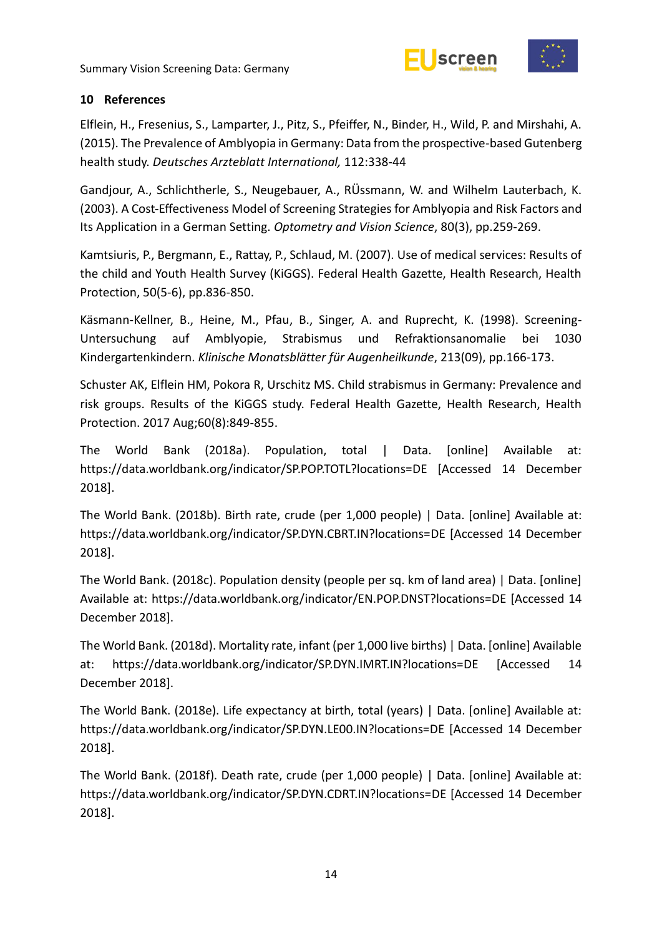



#### <span id="page-19-0"></span>**10 References**

Elflein, H., Fresenius, S., Lamparter, J., Pitz, S., Pfeiffer, N., Binder, H., Wild, P. and Mirshahi, A. (2015). The Prevalence of Amblyopia in Germany: Data from the prospective-based Gutenberg health study. *Deutsches Arzteblatt International,* 112:338-44

Gandjour, A., Schlichtherle, S., Neugebauer, A., RÜssmann, W. and Wilhelm Lauterbach, K. (2003). A Cost-Effectiveness Model of Screening Strategies for Amblyopia and Risk Factors and Its Application in a German Setting. *Optometry and Vision Science*, 80(3), pp.259-269.

Kamtsiuris, P., Bergmann, E., Rattay, P., Schlaud, M. (2007). Use of medical services: Results of the child and Youth Health Survey (KiGGS). Federal Health Gazette, Health Research, Health Protection, 50(5-6), pp.836-850.

Käsmann-Kellner, B., Heine, M., Pfau, B., Singer, A. and Ruprecht, K. (1998). Screening-Untersuchung auf Amblyopie, Strabismus und Refraktionsanomalie bei 1030 Kindergartenkindern. *Klinische Monatsblätter für Augenheilkunde*, 213(09), pp.166-173.

Schuster AK, Elflein HM, Pokora R, Urschitz MS. Child strabismus in Germany: Prevalence and risk groups. Results of the KiGGS study. Federal Health Gazette, Health Research, Health Protection. 2017 Aug;60(8):849-855.

The World Bank (2018a). Population, total | Data. [online] Available at: https://data.worldbank.org/indicator/SP.POP.TOTL?locations=DE [Accessed 14 December 2018].

The World Bank. (2018b). Birth rate, crude (per 1,000 people) | Data. [online] Available at: https://data.worldbank.org/indicator/SP.DYN.CBRT.IN?locations=DE [Accessed 14 December 2018].

The World Bank. (2018c). Population density (people per sq. km of land area) | Data. [online] Available at: https://data.worldbank.org/indicator/EN.POP.DNST?locations=DE [Accessed 14 December 2018].

The World Bank. (2018d). Mortality rate, infant (per 1,000 live births) | Data. [online] Available at: https://data.worldbank.org/indicator/SP.DYN.IMRT.IN?locations=DE [Accessed 14 December 2018].

The World Bank. (2018e). Life expectancy at birth, total (years) | Data. [online] Available at: https://data.worldbank.org/indicator/SP.DYN.LE00.IN?locations=DE [Accessed 14 December 2018].

The World Bank. (2018f). Death rate, crude (per 1,000 people) | Data. [online] Available at: https://data.worldbank.org/indicator/SP.DYN.CDRT.IN?locations=DE [Accessed 14 December 2018].